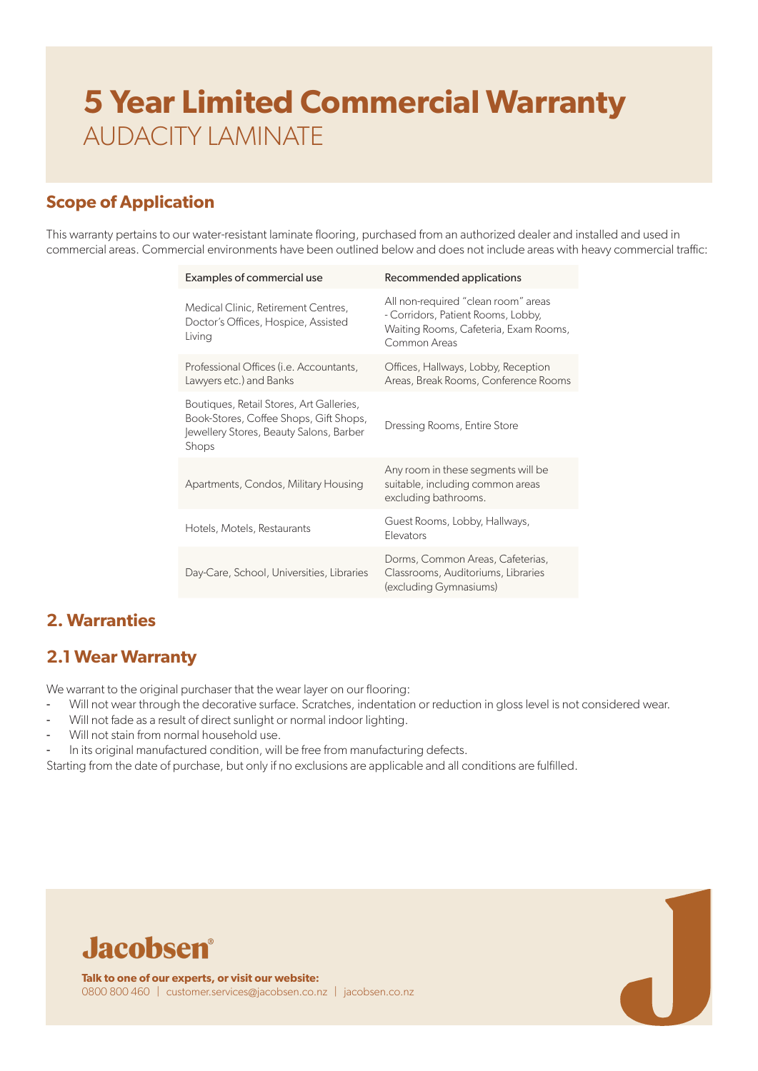## **Scope of Application**

This warranty pertains to our water-resistant laminate flooring, purchased from an authorized dealer and installed and used in commercial areas. Commercial environments have been outlined below and does not include areas with heavy commercial traffic:

| Examples of commercial use                                                                                                             | Recommended applications                                                                                                           |
|----------------------------------------------------------------------------------------------------------------------------------------|------------------------------------------------------------------------------------------------------------------------------------|
| Medical Clinic, Retirement Centres,<br>Doctor's Offices, Hospice, Assisted<br>Living                                                   | All non-required "clean room" areas<br>- Corridors, Patient Rooms, Lobby,<br>Waiting Rooms, Cafeteria, Exam Rooms,<br>Common Areas |
| Professional Offices (i.e. Accountants,<br>Lawyers etc.) and Banks                                                                     | Offices, Hallways, Lobby, Reception<br>Areas, Break Rooms, Conference Rooms                                                        |
| Boutiques, Retail Stores, Art Galleries,<br>Book-Stores, Coffee Shops, Gift Shops,<br>Jewellery Stores, Beauty Salons, Barber<br>Shops | Dressing Rooms, Entire Store                                                                                                       |
| Apartments, Condos, Military Housing                                                                                                   | Any room in these segments will be<br>suitable, including common areas<br>excluding bathrooms.                                     |
| Hotels, Motels, Restaurants                                                                                                            | Guest Rooms, Lobby, Hallways,<br>Elevators                                                                                         |
| Day-Care, School, Universities, Libraries                                                                                              | Dorms, Common Areas, Cafeterias,<br>Classrooms, Auditoriums, Libraries<br>(excluding Gymnasiums)                                   |

## **2. Warranties**

### **2.1 Wear Warranty**

We warrant to the original purchaser that the wear layer on our flooring:

- Will not wear through the decorative surface. Scratches, indentation or reduction in gloss level is not considered wear.
- Will not fade as a result of direct sunlight or normal indoor lighting.
- Will not stain from normal household use.
- In its original manufactured condition, will be free from manufacturing defects.

Starting from the date of purchase, but only if no exclusions are applicable and all conditions are fulfilled.

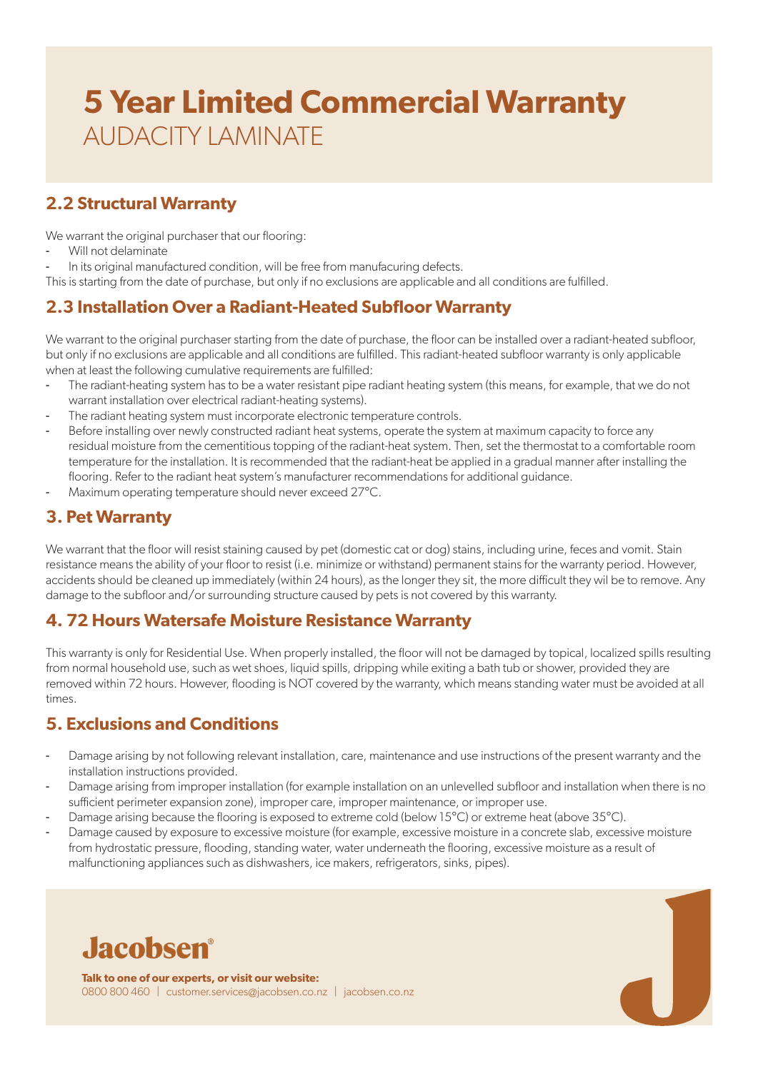## **2.2 Structural Warranty**

We warrant the original purchaser that our flooring:

- Will not delaminate
- In its original manufactured condition, will be free from manufacuring defects.

This is starting from the date of purchase, but only if no exclusions are applicable and all conditions are fulfilled.

### **2.3 Installation Over a Radiant-Heated Subfloor Warranty**

We warrant to the original purchaser starting from the date of purchase, the floor can be installed over a radiant-heated subfloor, but only if no exclusions are applicable and all conditions are fulfilled. This radiant-heated subfloor warranty is only applicable when at least the following cumulative requirements are fulfilled:

- The radiant-heating system has to be a water resistant pipe radiant heating system (this means, for example, that we do not warrant installation over electrical radiant-heating systems).
- The radiant heating system must incorporate electronic temperature controls.
- Before installing over newly constructed radiant heat systems, operate the system at maximum capacity to force any residual moisture from the cementitious topping of the radiant-heat system. Then, set the thermostat to a comfortable room temperature for the installation. It is recommended that the radiant-heat be applied in a gradual manner after installing the flooring. Refer to the radiant heat system's manufacturer recommendations for additional guidance.
- Maximum operating temperature should never exceed 27°C.

### **3. Pet Warranty**

We warrant that the floor will resist staining caused by pet (domestic cat or dog) stains, including urine, feces and vomit. Stain resistance means the ability of your floor to resist (i.e. minimize or withstand) permanent stains for the warranty period. However, accidents should be cleaned up immediately (within 24 hours), as the longer they sit, the more difficult they wil be to remove. Any damage to the subfloor and/or surrounding structure caused by pets is not covered by this warranty.

#### **4. 72 Hours Watersafe Moisture Resistance Warranty**

This warranty is only for Residential Use. When properly installed, the floor will not be damaged by topical, localized spills resulting from normal household use, such as wet shoes, liquid spills, dripping while exiting a bath tub or shower, provided they are removed within 72 hours. However, flooding is NOT covered by the warranty, which means standing water must be avoided at all times.

### **5. Exclusions and Conditions**

- Damage arising by not following relevant installation, care, maintenance and use instructions of the present warranty and the installation instructions provided.
- Damage arising from improper installation (for example installation on an unlevelled subfloor and installation when there is no sufficient perimeter expansion zone), improper care, improper maintenance, or improper use.
- Damage arising because the flooring is exposed to extreme cold (below 15°C) or extreme heat (above 35°C).
- Damage caused by exposure to excessive moisture (for example, excessive moisture in a concrete slab, excessive moisture from hydrostatic pressure, flooding, standing water, water underneath the flooring, excessive moisture as a result of malfunctioning appliances such as dishwashers, ice makers, refrigerators, sinks, pipes).



**Talk to one of our experts, or visit our website:** 0800 800 460 | customer.services@jacobsen.co.nz | jacobsen.co.nz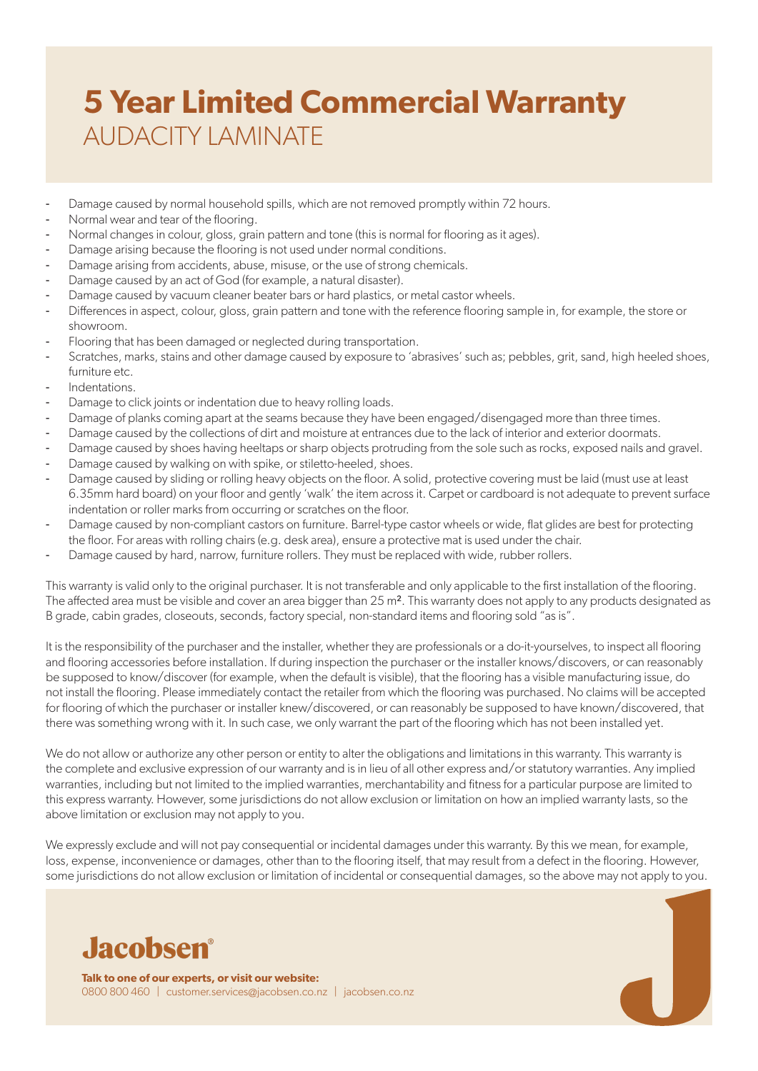- Damage caused by normal household spills, which are not removed promptly within 72 hours.
- Normal wear and tear of the flooring.
- Normal changes in colour, gloss, grain pattern and tone (this is normal for flooring as it ages).
- Damage arising because the flooring is not used under normal conditions.
- Damage arising from accidents, abuse, misuse, or the use of strong chemicals.
- Damage caused by an act of God (for example, a natural disaster).
- Damage caused by vacuum cleaner beater bars or hard plastics, or metal castor wheels.
- Differences in aspect, colour, gloss, grain pattern and tone with the reference flooring sample in, for example, the store or showroom.
- Flooring that has been damaged or neglected during transportation.
- Scratches, marks, stains and other damage caused by exposure to 'abrasives' such as; pebbles, grit, sand, high heeled shoes, furniture etc.
- Indentations.
- Damage to click joints or indentation due to heavy rolling loads.
- Damage of planks coming apart at the seams because they have been engaged/disengaged more than three times.
- Damage caused by the collections of dirt and moisture at entrances due to the lack of interior and exterior doormats.
- Damage caused by shoes having heeltaps or sharp objects protruding from the sole such as rocks, exposed nails and gravel.
- Damage caused by walking on with spike, or stiletto-heeled, shoes.
- Damage caused by sliding or rolling heavy objects on the floor. A solid, protective covering must be laid (must use at least 6.35mm hard board) on your floor and gently 'walk' the item across it. Carpet or cardboard is not adequate to prevent surface indentation or roller marks from occurring or scratches on the floor.
- Damage caused by non-compliant castors on furniture. Barrel-type castor wheels or wide, flat glides are best for protecting the floor. For areas with rolling chairs (e.g. desk area), ensure a protective mat is used under the chair.
- Damage caused by hard, narrow, furniture rollers. They must be replaced with wide, rubber rollers.

This warranty is valid only to the original purchaser. It is not transferable and only applicable to the first installation of the flooring. The affected area must be visible and cover an area bigger than 25 m². This warranty does not apply to any products designated as B grade, cabin grades, closeouts, seconds, factory special, non-standard items and flooring sold "as is".

It is the responsibility of the purchaser and the installer, whether they are professionals or a do-it-yourselves, to inspect all flooring and flooring accessories before installation. If during inspection the purchaser or the installer knows/discovers, or can reasonably be supposed to know/discover (for example, when the default is visible), that the flooring has a visible manufacturing issue, do not install the flooring. Please immediately contact the retailer from which the flooring was purchased. No claims will be accepted for flooring of which the purchaser or installer knew/discovered, or can reasonably be supposed to have known/discovered, that there was something wrong with it. In such case, we only warrant the part of the flooring which has not been installed yet.

We do not allow or authorize any other person or entity to alter the obligations and limitations in this warranty. This warranty is the complete and exclusive expression of our warranty and is in lieu of all other express and/or statutory warranties. Any implied warranties, including but not limited to the implied warranties, merchantability and fitness for a particular purpose are limited to this express warranty. However, some jurisdictions do not allow exclusion or limitation on how an implied warranty lasts, so the above limitation or exclusion may not apply to you.

We expressly exclude and will not pay consequential or incidental damages under this warranty. By this we mean, for example, loss, expense, inconvenience or damages, other than to the flooring itself, that may result from a defect in the flooring. However, some jurisdictions do not allow exclusion or limitation of incidental or consequential damages, so the above may not apply to you.



**Talk to one of our experts, or visit our website:** 0800 800 460 | customer.services@jacobsen.co.nz | jacobsen.co.nz